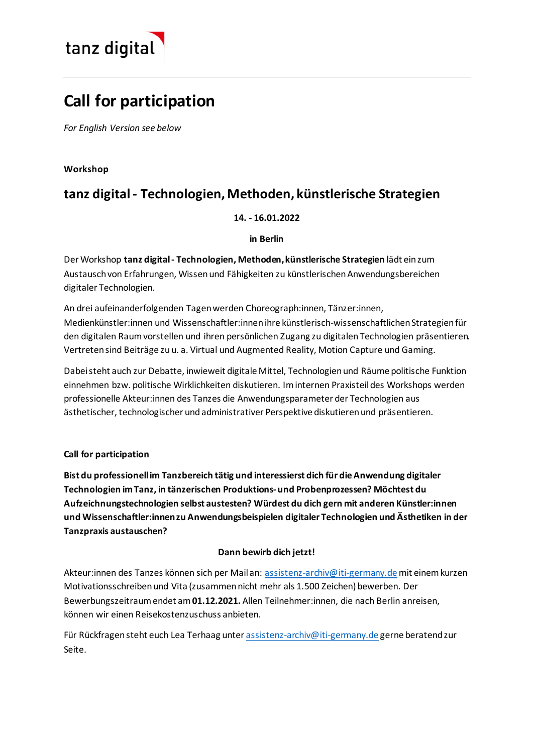

# **Call for participation**

*For English Version see below*

# **Workshop**

# **tanz digital - Technologien, Methoden, künstlerische Strategien**

# **14. - 16.01.2022**

# **in Berlin**

Der Workshop **tanz digital- Technologien, Methoden, künstlerische Strategien** lädt ein zum Austausch von Erfahrungen, Wissen und Fähigkeiten zu künstlerischen Anwendungsbereichen digitaler Technologien.

An drei aufeinanderfolgenden Tagen werden Choreograph:innen, Tänzer:innen, Medienkünstler:innen und Wissenschaftler:innen ihre künstlerisch-wissenschaftlichen Strategien für den digitalen Raum vorstellen und ihren persönlichen Zugang zu digitalen Technologien präsentieren. Vertreten sind Beiträge zu u. a. Virtual und Augmented Reality, Motion Capture und Gaming.

Dabei steht auch zur Debatte, inwieweit digitale Mittel, Technologien und Räume politische Funktion einnehmen bzw. politische Wirklichkeiten diskutieren. Im internen Praxisteil des Workshops werden professionelle Akteur:innen des Tanzes die Anwendungsparameter der Technologien aus ästhetischer, technologischer und administrativer Perspektive diskutieren und präsentieren.

**Call for participation**

**Bist du professionell im Tanzbereich tätig und interessierst dich für die Anwendung digitaler Technologien im Tanz, in tänzerischen Produktions-und Probenprozessen? Möchtest du Aufzeichnungstechnologien selbst austesten? Würdest du dich gern mit anderen Künstler:innen und Wissenschaftler:innen zu Anwendungsbeispielen digitaler Technologien und Ästhetiken in der Tanzpraxis austauschen?**

# **Dann bewirb dich jetzt!**

Akteur:innen des Tanzes können sich per Mail an: [assistenz-archiv@iti-germany.de](mailto:assistenz-archiv@iti-germany.de)mit einem kurzen Motivationsschreiben und Vita (zusammen nicht mehr als 1.500 Zeichen) bewerben. Der Bewerbungszeitraum endet am **01.12.2021.** Allen Teilnehmer:innen, die nach Berlin anreisen, können wir einen Reisekostenzuschuss anbieten.

Für Rückfragen steht euch Lea Terhaag unte[r assistenz-archiv@iti-germany.de](mailto:assistenz-archiv@iti-germany.de) gerne beratend zur Seite.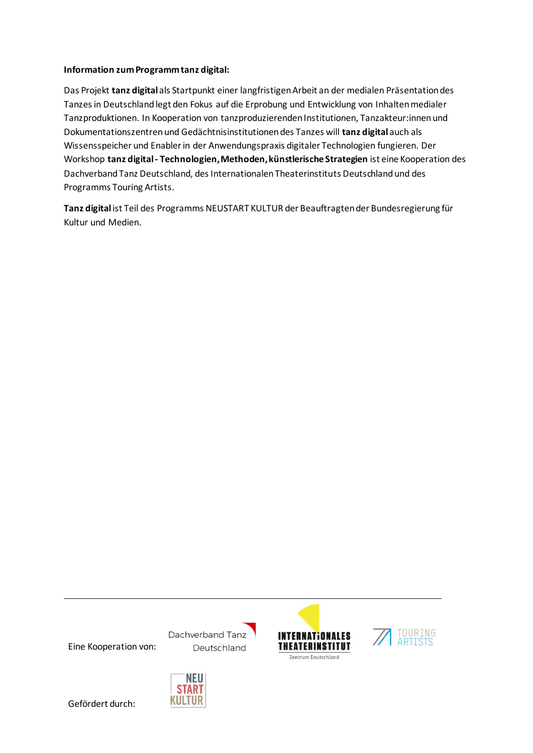#### **Information zum Programm tanz digital:**

Das Projekt **tanz digital** als Startpunkt einer langfristigen Arbeit an der medialen Präsentation des Tanzes in Deutschland legt den Fokus auf die Erprobung und Entwicklung von Inhalten medialer Tanzproduktionen. In Kooperation von tanzproduzierenden Institutionen, Tanzakteur:innen und Dokumentationszentren und Gedächtnisinstitutionen des Tanzes will **tanz digital** auch als Wissensspeicher und Enabler in der Anwendungspraxis digitaler Technologien fungieren. Der Workshop **tanz digital- Technologien, Methoden, künstlerische Strategien** ist eine Kooperation des Dachverband Tanz Deutschland, des Internationalen Theaterinstituts Deutschland und des Programms Touring Artists.

**Tanz digital** ist Teil des Programms NEUSTART KULTUR der Beauftragten der Bundesregierung für Kultur und Medien.

Eine Kooperation von:

Dachverband Tanz Deutschland

NEU **START** KULTUR





Gefördert durch: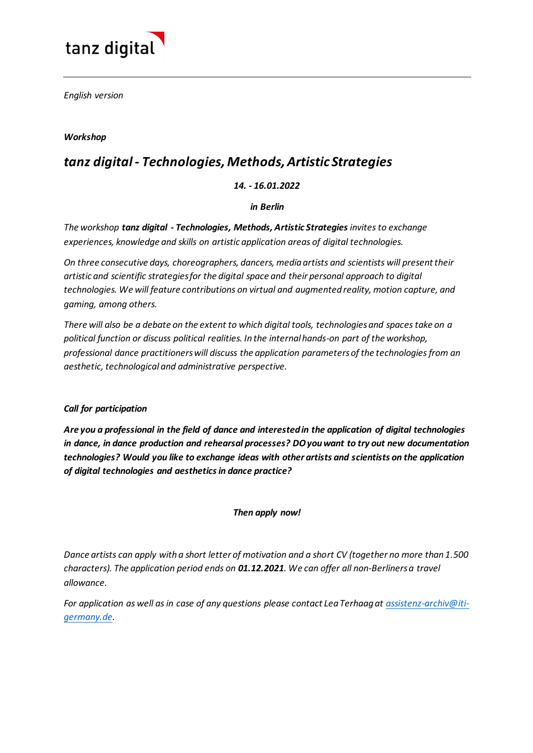

*English version*

# *Workshop*

# *tanz digital - Technologies, Methods, Artistic Strategies*

# *14. - 16.01.2022*

#### *in Berlin*

*The workshop tanz digital - Technologies, Methods, Artistic Strategies invites to exchange experiences, knowledge and skills on artistic application areas of digital technologies.* 

*On three consecutive days, choreographers, dancers, media artists and scientists will present their artistic and scientific strategies for the digital space and their personal approach to digital technologies. We will feature contributions on virtual and augmented reality, motion capture, and gaming, among others.*

*There will also be a debate on the extent to which digital tools, technologies and spaces take on a political function or discuss political realities. In the internal hands-on part of the workshop, professional dance practitioners will discuss the application parameters of the technologies from an aesthetic, technological and administrative perspective.* 

#### *Call for participation*

*Are you a professional in the field of dance and interested in the application of digital technologies in dance, in dance production and rehearsal processes? DO you want to try out new documentation technologies? Would you like to exchange ideas with other artists and scientists on the application of digital technologies and aesthetics in dance practice?* 

#### *Then apply now!*

*Dance artists can apply with a short letter of motivation and a short CV (together no more than 1.500 characters). The application period ends on 01.12.2021. We can offer all non-Berliners a travel allowance.*

*For application as well as in case of any questions please contact Lea Terhaag a[t assistenz-archiv@iti](mailto:assistenz-archiv@iti-germany.de)[germany.de.](mailto:assistenz-archiv@iti-germany.de)*